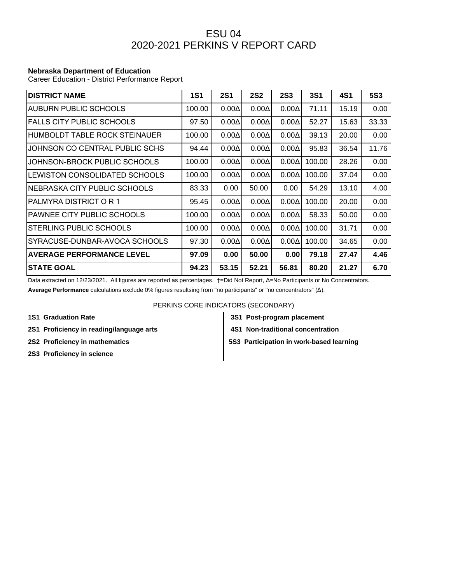## ESU 04 2020-2021 PERKINS V REPORT CARD

## **Nebraska Department of Education**

Career Education - District Performance Report

| <b>DISTRICT NAME</b>              | <b>1S1</b> | <b>2S1</b>   | <b>2S2</b>   | <b>2S3</b>   | <b>3S1</b> | 4S1   | <b>5S3</b> |
|-----------------------------------|------------|--------------|--------------|--------------|------------|-------|------------|
| AUBURN PUBLIC SCHOOLS             | 100.00     | $0.00\Delta$ | $0.00\Delta$ | $0.00\Delta$ | 71.11      | 15.19 | 0.00       |
| <b>FALLS CITY PUBLIC SCHOOLS</b>  | 97.50      | $0.00\Delta$ | $0.00\Delta$ | $0.00\Delta$ | 52.27      | 15.63 | 33.33      |
| HUMBOLDT TABLE ROCK STEINAUER     | 100.00     | $0.00\Delta$ | $0.00\Delta$ | $0.00\Delta$ | 39.13      | 20.00 | 0.00       |
| JOHNSON CO CENTRAL PUBLIC SCHS    | 94.44      | $0.00\Delta$ | $0.00\Delta$ | $0.00\Delta$ | 95.83      | 36.54 | 11.76      |
| JOHNSON-BROCK PUBLIC SCHOOLS      | 100.00     | $0.00\Delta$ | $0.00\Delta$ | $0.00\Delta$ | 100.00     | 28.26 | 0.00       |
| LEWISTON CONSOLIDATED SCHOOLS     | 100.00     | $0.00\Delta$ | $0.00\Delta$ | $0.00\Delta$ | 100.00     | 37.04 | 0.00       |
| INEBRASKA CITY PUBLIC SCHOOLS     | 83.33      | 0.00         | 50.00        | 0.00         | 54.29      | 13.10 | 4.00       |
| PALMYRA DISTRICT O R 1            | 95.45      | $0.00\Delta$ | $0.00\Delta$ | $0.00\Delta$ | 100.00     | 20.00 | 0.00       |
| <b>PAWNEE CITY PUBLIC SCHOOLS</b> | 100.00     | $0.00\Delta$ | $0.00\Delta$ | $0.00\Delta$ | 58.33      | 50.00 | 0.00       |
| <b>STERLING PUBLIC SCHOOLS</b>    | 100.00     | $0.00\Delta$ | $0.00\Delta$ | $0.00\Delta$ | 100.00     | 31.71 | 0.00       |
| SYRACUSE-DUNBAR-AVOCA SCHOOLS     | 97.30      | $0.00\Delta$ | $0.00\Delta$ | $0.00\Delta$ | 100.00     | 34.65 | 0.00       |
| <b>AVERAGE PERFORMANCE LEVEL</b>  | 97.09      | 0.00         | 50.00        | 0.00         | 79.18      | 27.47 | 4.46       |
| <b>STATE GOAL</b>                 | 94.23      | 53.15        | 52.21        | 56.81        | 80.20      | 21.27 | 6.70       |

Data extracted on 12/23/2021. All figures are reported as percentages. †=Did Not Report, Δ=No Participants or No Concentrators.

**Average Performance** calculations exclude 0% figures resultsing from "no participants" or "no concentrators" (Δ).

PERKINS CORE INDICATORS (SECONDARY)

2S1 Proficiency in reading/language arts **4S1 Non-traditional concentration** 

**2S3 Proficiency in science**

**1S1 Graduation Rate 3S1 Post-program placement**

**2S2 Proficiency in mathematics 5S3 Participation in work-based learning**